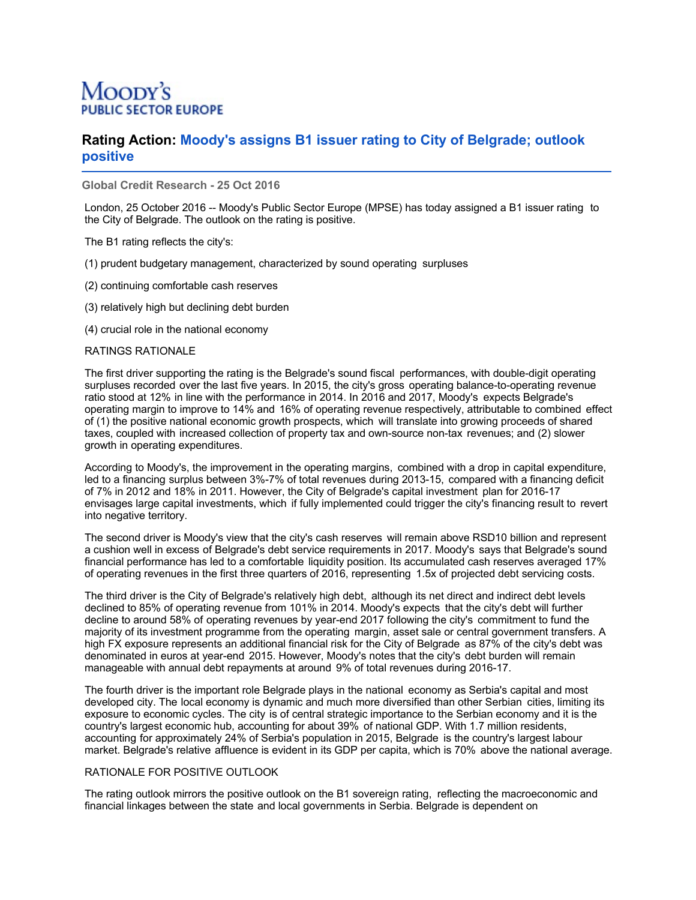# Moody's **TOR EUROPE**

## **Rating Action: Moody's assigns B1 issuer rating to City of Belgrade; outlook positive**

**Global Credit Research - 25 Oct 2016**

London, 25 October 2016 -- Moody's Public Sector Europe (MPSE) has today assigned a B1 issuer rating to the City of Belgrade. The outlook on the rating is positive.

The B1 rating reflects the city's:

- (1) prudent budgetary management, characterized by sound operating surpluses
- (2) continuing comfortable cash reserves
- (3) relatively high but declining debt burden

(4) crucial role in the national economy

#### RATINGS RATIONALE

The first driver supporting the rating is the Belgrade's sound fiscal performances, with double-digit operating surpluses recorded over the last five years. In 2015, the city's gross operating balance-to-operating revenue ratio stood at 12% in line with the performance in 2014. In 2016 and 2017, Moody's expects Belgrade's operating margin to improve to 14% and 16% of operating revenue respectively, attributable to combined effect of (1) the positive national economic growth prospects, which will translate into growing proceeds of shared taxes, coupled with increased collection of property tax and own-source non-tax revenues; and (2) slower growth in operating expenditures.

According to Moody's, the improvement in the operating margins, combined with a drop in capital expenditure, led to a financing surplus between 3%-7% of total revenues during 2013-15, compared with a financing deficit of 7% in 2012 and 18% in 2011. However, the City of Belgrade's capital investment plan for 2016-17 envisages large capital investments, which if fully implemented could trigger the city's financing result to revert into negative territory.

The second driver is Moody's view that the city's cash reserves will remain above RSD10 billion and represent a cushion well in excess of Belgrade's debt service requirements in 2017. Moody's says that Belgrade's sound financial performance has led to a comfortable liquidity position. Its accumulated cash reserves averaged 17% of operating revenues in the first three quarters of 2016, representing 1.5x of projected debt servicing costs.

The third driver is the City of Belgrade's relatively high debt, although its net direct and indirect debt levels declined to 85% of operating revenue from 101% in 2014. Moody's expects that the city's debt will further decline to around 58% of operating revenues by year-end 2017 following the city's commitment to fund the majority of its investment programme from the operating margin, asset sale or central government transfers. A high FX exposure represents an additional financial risk for the City of Belgrade as 87% of the city's debt was denominated in euros at year-end 2015. However, Moody's notes that the city's debt burden will remain manageable with annual debt repayments at around 9% of total revenues during 2016-17.

The fourth driver is the important role Belgrade plays in the national economy as Serbia's capital and most developed city. The local economy is dynamic and much more diversified than other Serbian cities, limiting its exposure to economic cycles. The city is of central strategic importance to the Serbian economy and it is the country's largest economic hub, accounting for about 39% of national GDP. With 1.7 million residents, accounting for approximately 24% of Serbia's population in 2015, Belgrade is the country's largest labour market. Belgrade's relative affluence is evident in its GDP per capita, which is 70% above the national average.

#### RATIONALE FOR POSITIVE OUTLOOK

The rating outlook mirrors the positive outlook on the B1 sovereign rating, reflecting the macroeconomic and financial linkages between the state and local governments in Serbia. Belgrade is dependent on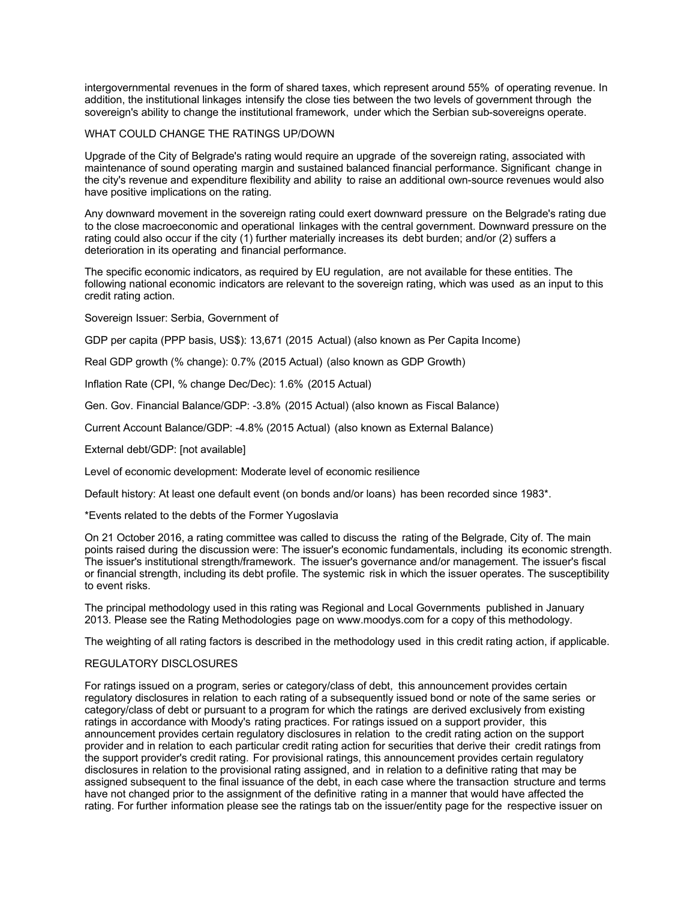intergovernmental revenues in the form of shared taxes, which represent around 55% of operating revenue. In addition, the institutional linkages intensify the close ties between the two levels of government through the sovereign's ability to change the institutional framework, under which the Serbian sub-sovereigns operate.

### WHAT COULD CHANGE THE RATINGS UP/DOWN

Upgrade of the City of Belgrade's rating would require an upgrade of the sovereign rating, associated with maintenance of sound operating margin and sustained balanced financial performance. Significant change in the city's revenue and expenditure flexibility and ability to raise an additional own-source revenues would also have positive implications on the rating.

Any downward movement in the sovereign rating could exert downward pressure on the Belgrade's rating due to the close macroeconomic and operational linkages with the central government. Downward pressure on the rating could also occur if the city (1) further materially increases its debt burden; and/or (2) suffers a deterioration in its operating and financial performance.

The specific economic indicators, as required by EU regulation, are not available for these entities. The following national economic indicators are relevant to the sovereign rating, which was used as an input to this credit rating action.

Sovereign Issuer: Serbia, Government of

GDP per capita (PPP basis, US\$): 13,671 (2015 Actual) (also known as Per Capita Income)

Real GDP growth (% change): 0.7% (2015 Actual) (also known as GDP Growth)

Inflation Rate (CPI, % change Dec/Dec): 1.6% (2015 Actual)

Gen. Gov. Financial Balance/GDP: -3.8% (2015 Actual) (also known as Fiscal Balance)

Current Account Balance/GDP: -4.8% (2015 Actual) (also known as External Balance)

External debt/GDP: [not available]

Level of economic development: Moderate level of economic resilience

Default history: At least one default event (on bonds and/or loans) has been recorded since 1983\*.

\*Events related to the debts of the Former Yugoslavia

On 21 October 2016, a rating committee was called to discuss the rating of the Belgrade, City of. The main points raised during the discussion were: The issuer's economic fundamentals, including its economic strength. The issuer's institutional strength/framework. The issuer's governance and/or management. The issuer's fiscal or financial strength, including its debt profile. The systemic risk in which the issuer operates. The susceptibility to event risks.

The principal methodology used in this rating was Regional and Local Governments published in January 2013. Please see the Rating Methodologies page on www.moodys.com for a copy of this methodology.

The weighting of all rating factors is described in the methodology used in this credit rating action, if applicable.

### REGULATORY DISCLOSURES

For ratings issued on a program, series or category/class of debt, this announcement provides certain regulatory disclosures in relation to each rating of a subsequently issued bond or note of the same series or category/class of debt or pursuant to a program for which the ratings are derived exclusively from existing ratings in accordance with Moody's rating practices. For ratings issued on a support provider, this announcement provides certain regulatory disclosures in relation to the credit rating action on the support provider and in relation to each particular credit rating action for securities that derive their credit ratings from the support provider's credit rating. For provisional ratings, this announcement provides certain regulatory disclosures in relation to the provisional rating assigned, and in relation to a definitive rating that may be assigned subsequent to the final issuance of the debt, in each case where the transaction structure and terms have not changed prior to the assignment of the definitive rating in a manner that would have affected the rating. For further information please see the ratings tab on the issuer/entity page for the respective issuer on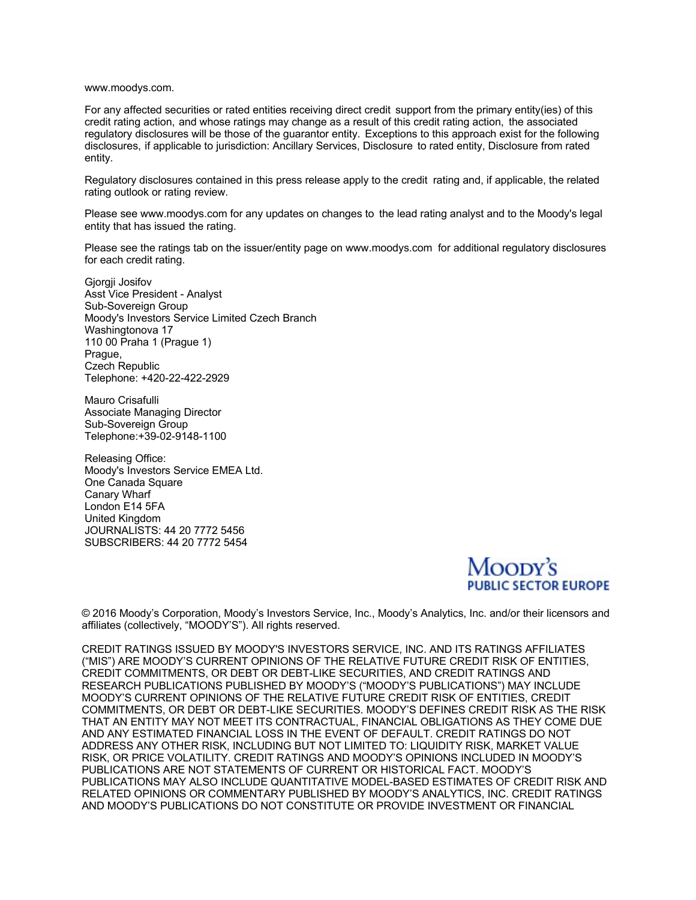www.moodys.com.

For any affected securities or rated entities receiving direct credit support from the primary entity(ies) of this credit rating action, and whose ratings may change as a result of this credit rating action, the associated regulatory disclosures will be those of the guarantor entity. Exceptions to this approach exist for the following disclosures, if applicable to jurisdiction: Ancillary Services, Disclosure to rated entity, Disclosure from rated entity.

Regulatory disclosures contained in this press release apply to the credit rating and, if applicable, the related rating outlook or rating review.

Please see www.moodys.com for any updates on changes to the lead rating analyst and to the Moody's legal entity that has issued the rating.

Please see the ratings tab on the issuer/entity page on www.moodys.com for additional regulatory disclosures for each credit rating.

Gjorgji Josifov Asst Vice President - Analyst Sub-Sovereign Group Moody's Investors Service Limited Czech Branch Washingtonova 17 110 00 Praha 1 (Prague 1) Prague, Czech Republic Telephone: +420-22-422-2929

Mauro Crisafulli Associate Managing Director Sub-Sovereign Group Telephone:+39-02-9148-1100

Releasing Office: Moody's Investors Service EMEA Ltd. One Canada Square Canary Wharf London E14 5FA United Kingdom JOURNALISTS: 44 20 7772 5456 SUBSCRIBERS: 44 20 7772 5454



© 2016 Moody's Corporation, Moody's Investors Service, Inc., Moody's Analytics, Inc. and/or their licensors and affiliates (collectively, "MOODY'S"). All rights reserved.

CREDIT RATINGS ISSUED BY MOODY'S INVESTORS SERVICE, INC. AND ITS RATINGS AFFILIATES ("MIS") ARE MOODY'S CURRENT OPINIONS OF THE RELATIVE FUTURE CREDIT RISK OF ENTITIES, CREDIT COMMITMENTS, OR DEBT OR DEBT-LIKE SECURITIES, AND CREDIT RATINGS AND RESEARCH PUBLICATIONS PUBLISHED BY MOODY'S ("MOODY'S PUBLICATIONS") MAY INCLUDE MOODY'S CURRENT OPINIONS OF THE RELATIVE FUTURE CREDIT RISK OF ENTITIES, CREDIT COMMITMENTS, OR DEBT OR DEBT-LIKE SECURITIES. MOODY'S DEFINES CREDIT RISK AS THE RISK THAT AN ENTITY MAY NOT MEET ITS CONTRACTUAL, FINANCIAL OBLIGATIONS AS THEY COME DUE AND ANY ESTIMATED FINANCIAL LOSS IN THE EVENT OF DEFAULT. CREDIT RATINGS DO NOT ADDRESS ANY OTHER RISK, INCLUDING BUT NOT LIMITED TO: LIQUIDITY RISK, MARKET VALUE RISK, OR PRICE VOLATILITY. CREDIT RATINGS AND MOODY'S OPINIONS INCLUDED IN MOODY'S PUBLICATIONS ARE NOT STATEMENTS OF CURRENT OR HISTORICAL FACT. MOODY'S PUBLICATIONS MAY ALSO INCLUDE QUANTITATIVE MODEL-BASED ESTIMATES OF CREDIT RISK AND RELATED OPINIONS OR COMMENTARY PUBLISHED BY MOODY'S ANALYTICS, INC. CREDIT RATINGS AND MOODY'S PUBLICATIONS DO NOT CONSTITUTE OR PROVIDE INVESTMENT OR FINANCIAL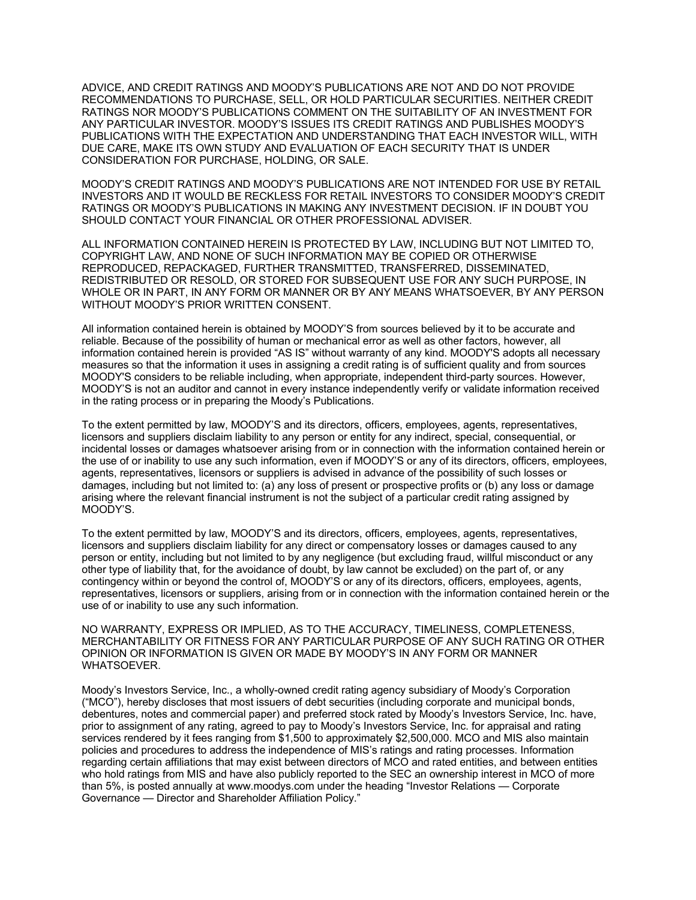ADVICE, AND CREDIT RATINGS AND MOODY'S PUBLICATIONS ARE NOT AND DO NOT PROVIDE RECOMMENDATIONS TO PURCHASE, SELL, OR HOLD PARTICULAR SECURITIES. NEITHER CREDIT RATINGS NOR MOODY'S PUBLICATIONS COMMENT ON THE SUITABILITY OF AN INVESTMENT FOR ANY PARTICULAR INVESTOR. MOODY'S ISSUES ITS CREDIT RATINGS AND PUBLISHES MOODY'S PUBLICATIONS WITH THE EXPECTATION AND UNDERSTANDING THAT EACH INVESTOR WILL, WITH DUE CARE, MAKE ITS OWN STUDY AND EVALUATION OF EACH SECURITY THAT IS UNDER CONSIDERATION FOR PURCHASE, HOLDING, OR SALE.

MOODY'S CREDIT RATINGS AND MOODY'S PUBLICATIONS ARE NOT INTENDED FOR USE BY RETAIL INVESTORS AND IT WOULD BE RECKLESS FOR RETAIL INVESTORS TO CONSIDER MOODY'S CREDIT RATINGS OR MOODY'S PUBLICATIONS IN MAKING ANY INVESTMENT DECISION. IF IN DOUBT YOU SHOULD CONTACT YOUR FINANCIAL OR OTHER PROFESSIONAL ADVISER.

ALL INFORMATION CONTAINED HEREIN IS PROTECTED BY LAW, INCLUDING BUT NOT LIMITED TO, COPYRIGHT LAW, AND NONE OF SUCH INFORMATION MAY BE COPIED OR OTHERWISE REPRODUCED, REPACKAGED, FURTHER TRANSMITTED, TRANSFERRED, DISSEMINATED, REDISTRIBUTED OR RESOLD, OR STORED FOR SUBSEQUENT USE FOR ANY SUCH PURPOSE, IN WHOLE OR IN PART, IN ANY FORM OR MANNER OR BY ANY MEANS WHATSOEVER, BY ANY PERSON WITHOUT MOODY'S PRIOR WRITTEN CONSENT.

All information contained herein is obtained by MOODY'S from sources believed by it to be accurate and reliable. Because of the possibility of human or mechanical error as well as other factors, however, all information contained herein is provided "AS IS" without warranty of any kind. MOODY'S adopts all necessary measures so that the information it uses in assigning a credit rating is of sufficient quality and from sources MOODY'S considers to be reliable including, when appropriate, independent third-party sources. However, MOODY'S is not an auditor and cannot in every instance independently verify or validate information received in the rating process or in preparing the Moody's Publications.

To the extent permitted by law, MOODY'S and its directors, officers, employees, agents, representatives, licensors and suppliers disclaim liability to any person or entity for any indirect, special, consequential, or incidental losses or damages whatsoever arising from or in connection with the information contained herein or the use of or inability to use any such information, even if MOODY'S or any of its directors, officers, employees, agents, representatives, licensors or suppliers is advised in advance of the possibility of such losses or damages, including but not limited to: (a) any loss of present or prospective profits or (b) any loss or damage arising where the relevant financial instrument is not the subject of a particular credit rating assigned by MOODY'S.

To the extent permitted by law, MOODY'S and its directors, officers, employees, agents, representatives, licensors and suppliers disclaim liability for any direct or compensatory losses or damages caused to any person or entity, including but not limited to by any negligence (but excluding fraud, willful misconduct or any other type of liability that, for the avoidance of doubt, by law cannot be excluded) on the part of, or any contingency within or beyond the control of, MOODY'S or any of its directors, officers, employees, agents, representatives, licensors or suppliers, arising from or in connection with the information contained herein or the use of or inability to use any such information.

NO WARRANTY, EXPRESS OR IMPLIED, AS TO THE ACCURACY, TIMELINESS, COMPLETENESS, MERCHANTABILITY OR FITNESS FOR ANY PARTICULAR PURPOSE OF ANY SUCH RATING OR OTHER OPINION OR INFORMATION IS GIVEN OR MADE BY MOODY'S IN ANY FORM OR MANNER WHATSOEVER.

Moody's Investors Service, Inc., a wholly-owned credit rating agency subsidiary of Moody's Corporation ("MCO"), hereby discloses that most issuers of debt securities (including corporate and municipal bonds, debentures, notes and commercial paper) and preferred stock rated by Moody's Investors Service, Inc. have, prior to assignment of any rating, agreed to pay to Moody's Investors Service, Inc. for appraisal and rating services rendered by it fees ranging from \$1,500 to approximately \$2,500,000. MCO and MIS also maintain policies and procedures to address the independence of MIS's ratings and rating processes. Information regarding certain affiliations that may exist between directors of MCO and rated entities, and between entities who hold ratings from MIS and have also publicly reported to the SEC an ownership interest in MCO of more than 5%, is posted annually at www.moodys.com under the heading "Investor Relations — Corporate Governance — Director and Shareholder Affiliation Policy."